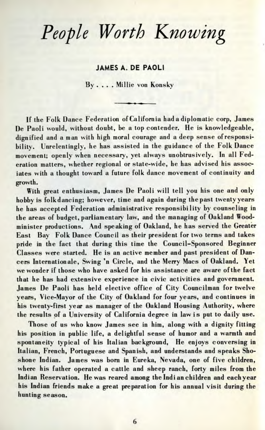## *People Worth Knowing*

## JAMES A. DE PAOLI

By .... Millie von Konsky

If the Folk Dance Federation of California had a diplomatic corp, James De Paoli would, without doubt, be a top contender. He is knowledgeable, dignified and a man with high moral courage and a deep sense of responsibility. Unrelentingly, he has assisted in the guidance of the Folk Dance movement; openly when necessary, yet always unobtrusively. In all Federation matters, whether regional or state-wide, he has advised his associates with a thought toward a future folk dance movement of continuity and growth.

With great enthusiasm, James De Paoli will tell you his one and only hobby is folkdancing; however, time and again during thepast twenty years he has accepted Federation administrative responsibility by counseling in the areas of budget, parliamentary law, and the managing of Oakland Woodminister productions. And speaking of Oakland, he has served the Greater East Bay Folk Dance Council as their president for two terms and takes pride in the fact that during this time the Council-Sponsored Beginner Classes were started. He is an active member and past president of Dancers Internationale, Swing 'n Circle, and the Merry Macs of Oakland. Yet we wonder if those who have asked for his assistance are aware of the fact that he has had extensive experience in civic activities and government. James De Paoli has held elective office of City Councilman for twelve years, Vice-Mayor of the City of Oakland for four years, and continues in his twenty-first year as manager of the Oakland Housing Authority, where the results of a University of California degree in law is put to daily use.

Those of us who know James see in him, along with a dignity fitting his position in public life, a delightful sense of humor and a warmth and spontaneity typical of his Italian background. He enjoys conversing in Italian, French, Portuguese and Spanish, and understands and speaks Shoshone Indian. James was born in Eureka, Nevada, one of five children, where his father operated a cattle and sheep ranch, forty miles from the Indian Reservation. He was reared among the Indian children and eachyear his Indian friends make a great preparation for his annual visit during the hunting season.